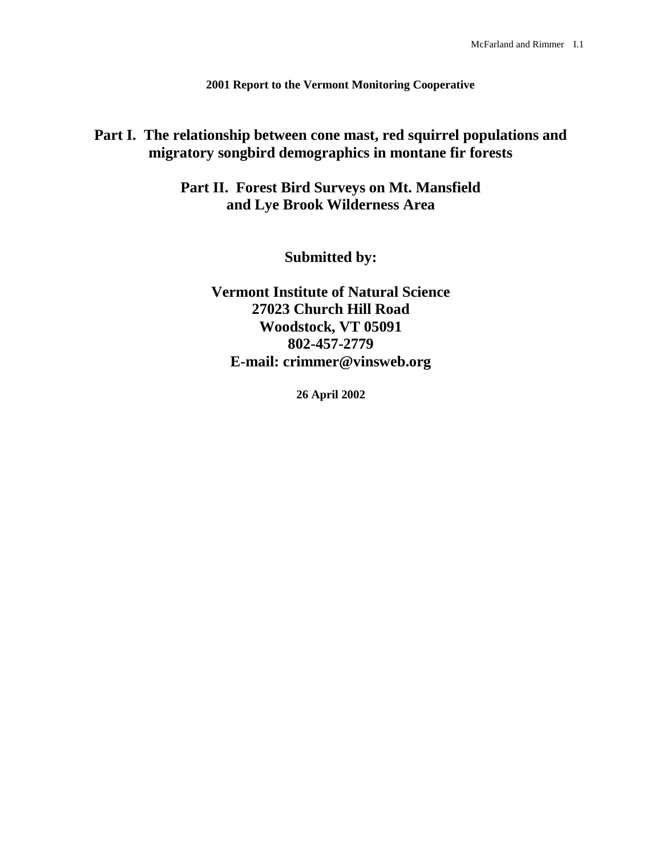**2001 Report to the Vermont Monitoring Cooperative**

# **Part I. The relationship between cone mast, red squirrel populations and migratory songbird demographics in montane fir forests**

**Part II. Forest Bird Surveys on Mt. Mansfield and Lye Brook Wilderness Area**

**Submitted by:**

**Vermont Institute of Natural Science 27023 Church Hill Road Woodstock, VT 05091 802-457-2779 E-mail: crimmer@vinsweb.org**

**26 April 2002**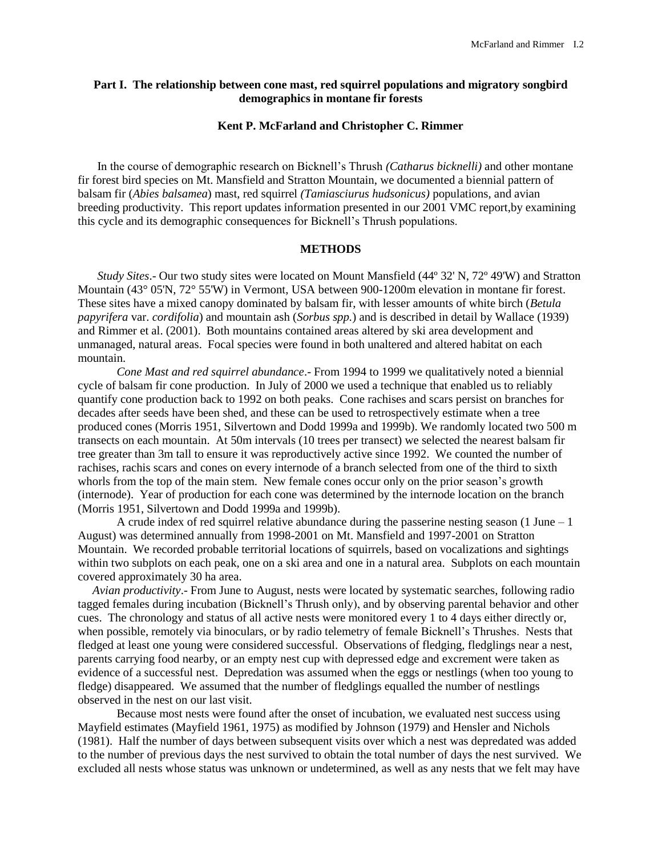# **Part I. The relationship between cone mast, red squirrel populations and migratory songbird demographics in montane fir forests**

## **Kent P. McFarland and Christopher C. Rimmer**

In the course of demographic research on Bicknell's Thrush *(Catharus bicknelli)* and other montane fir forest bird species on Mt. Mansfield and Stratton Mountain, we documented a biennial pattern of balsam fir (*Abies balsamea*) mast, red squirrel *(Tamiasciurus hudsonicus)* populations, and avian breeding productivity. This report updates information presented in our 2001 VMC report,by examining this cycle and its demographic consequences for Bicknell's Thrush populations.

# **METHODS**

*Study Sites*.- Our two study sites were located on Mount Mansfield (44º 32' N, 72º 49'W) and Stratton Mountain (43° 05'N, 72° 55'W) in Vermont, USA between 900-1200m elevation in montane fir forest. These sites have a mixed canopy dominated by balsam fir, with lesser amounts of white birch (*Betula papyrifera* var. *cordifolia*) and mountain ash (*Sorbus spp.*) and is described in detail by Wallace (1939) and Rimmer et al. (2001). Both mountains contained areas altered by ski area development and unmanaged, natural areas. Focal species were found in both unaltered and altered habitat on each mountain.

*Cone Mast and red squirrel abundance*.- From 1994 to 1999 we qualitatively noted a biennial cycle of balsam fir cone production. In July of 2000 we used a technique that enabled us to reliably quantify cone production back to 1992 on both peaks. Cone rachises and scars persist on branches for decades after seeds have been shed, and these can be used to retrospectively estimate when a tree produced cones (Morris 1951, Silvertown and Dodd 1999a and 1999b). We randomly located two 500 m transects on each mountain. At 50m intervals (10 trees per transect) we selected the nearest balsam fir tree greater than 3m tall to ensure it was reproductively active since 1992. We counted the number of rachises, rachis scars and cones on every internode of a branch selected from one of the third to sixth whorls from the top of the main stem. New female cones occur only on the prior season's growth (internode). Year of production for each cone was determined by the internode location on the branch (Morris 1951, Silvertown and Dodd 1999a and 1999b).

A crude index of red squirrel relative abundance during the passerine nesting season (1 June – 1 August) was determined annually from 1998-2001 on Mt. Mansfield and 1997-2001 on Stratton Mountain. We recorded probable territorial locations of squirrels, based on vocalizations and sightings within two subplots on each peak, one on a ski area and one in a natural area. Subplots on each mountain covered approximately 30 ha area.

*Avian productivity*.- From June to August, nests were located by systematic searches, following radio tagged females during incubation (Bicknell's Thrush only), and by observing parental behavior and other cues. The chronology and status of all active nests were monitored every 1 to 4 days either directly or, when possible, remotely via binoculars, or by radio telemetry of female Bicknell's Thrushes. Nests that fledged at least one young were considered successful. Observations of fledging, fledglings near a nest, parents carrying food nearby, or an empty nest cup with depressed edge and excrement were taken as evidence of a successful nest. Depredation was assumed when the eggs or nestlings (when too young to fledge) disappeared. We assumed that the number of fledglings equalled the number of nestlings observed in the nest on our last visit.

Because most nests were found after the onset of incubation, we evaluated nest success using Mayfield estimates (Mayfield 1961, 1975) as modified by Johnson (1979) and Hensler and Nichols (1981). Half the number of days between subsequent visits over which a nest was depredated was added to the number of previous days the nest survived to obtain the total number of days the nest survived. We excluded all nests whose status was unknown or undetermined, as well as any nests that we felt may have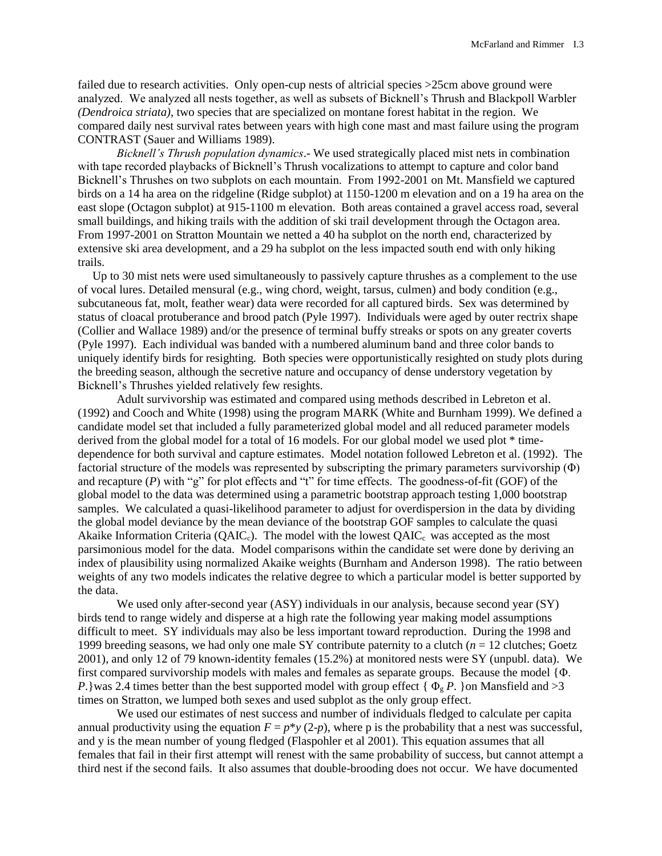failed due to research activities. Only open-cup nests of altricial species >25cm above ground were analyzed. We analyzed all nests together, as well as subsets of Bicknell's Thrush and Blackpoll Warbler *(Dendroica striata)*, two species that are specialized on montane forest habitat in the region. We compared daily nest survival rates between years with high cone mast and mast failure using the program CONTRAST (Sauer and Williams 1989).

*Bicknell's Thrush population dynamics*.- We used strategically placed mist nets in combination with tape recorded playbacks of Bicknell's Thrush vocalizations to attempt to capture and color band Bicknell's Thrushes on two subplots on each mountain. From 1992-2001 on Mt. Mansfield we captured birds on a 14 ha area on the ridgeline (Ridge subplot) at 1150-1200 m elevation and on a 19 ha area on the east slope (Octagon subplot) at 915-1100 m elevation. Both areas contained a gravel access road, several small buildings, and hiking trails with the addition of ski trail development through the Octagon area. From 1997-2001 on Stratton Mountain we netted a 40 ha subplot on the north end, characterized by extensive ski area development, and a 29 ha subplot on the less impacted south end with only hiking trails.

Up to 30 mist nets were used simultaneously to passively capture thrushes as a complement to the use of vocal lures. Detailed mensural (e.g., wing chord, weight, tarsus, culmen) and body condition (e.g., subcutaneous fat, molt, feather wear) data were recorded for all captured birds. Sex was determined by status of cloacal protuberance and brood patch (Pyle 1997). Individuals were aged by outer rectrix shape (Collier and Wallace 1989) and/or the presence of terminal buffy streaks or spots on any greater coverts (Pyle 1997). Each individual was banded with a numbered aluminum band and three color bands to uniquely identify birds for resighting. Both species were opportunistically resighted on study plots during the breeding season, although the secretive nature and occupancy of dense understory vegetation by Bicknell's Thrushes yielded relatively few resights.

Adult survivorship was estimated and compared using methods described in Lebreton et al. (1992) and Cooch and White (1998) using the program MARK (White and Burnham 1999). We defined a candidate model set that included a fully parameterized global model and all reduced parameter models derived from the global model for a total of 16 models. For our global model we used plot \* timedependence for both survival and capture estimates. Model notation followed Lebreton et al. (1992). The factorial structure of the models was represented by subscripting the primary parameters survivorship (Φ) and recapture (*P*) with "g" for plot effects and "t" for time effects. The goodness-of-fit (GOF) of the global model to the data was determined using a parametric bootstrap approach testing 1,000 bootstrap samples. We calculated a quasi-likelihood parameter to adjust for overdispersion in the data by dividing the global model deviance by the mean deviance of the bootstrap GOF samples to calculate the quasi Akaike Information Criteria ( $QAIC_c$ ). The model with the lowest  $QAIC_c$  was accepted as the most parsimonious model for the data. Model comparisons within the candidate set were done by deriving an index of plausibility using normalized Akaike weights (Burnham and Anderson 1998). The ratio between weights of any two models indicates the relative degree to which a particular model is better supported by the data.

We used only after-second year (ASY) individuals in our analysis, because second year (SY) birds tend to range widely and disperse at a high rate the following year making model assumptions difficult to meet. SY individuals may also be less important toward reproduction. During the 1998 and 1999 breeding seasons, we had only one male SY contribute paternity to a clutch (*n* = 12 clutches; Goetz 2001), and only 12 of 79 known-identity females (15.2%) at monitored nests were SY (unpubl. data). We first compared survivorship models with males and females as separate groups. Because the model {Φ. *P*.}was 2.4 times better than the best supported model with group effect {  $\Phi_{g}P$ . }on Mansfield and >3 times on Stratton, we lumped both sexes and used subplot as the only group effect.

We used our estimates of nest success and number of individuals fledged to calculate per capita annual productivity using the equation  $F = p^*y(2-p)$ , where p is the probability that a nest was successful, and y is the mean number of young fledged (Flaspohler et al 2001). This equation assumes that all females that fail in their first attempt will renest with the same probability of success, but cannot attempt a third nest if the second fails. It also assumes that double-brooding does not occur. We have documented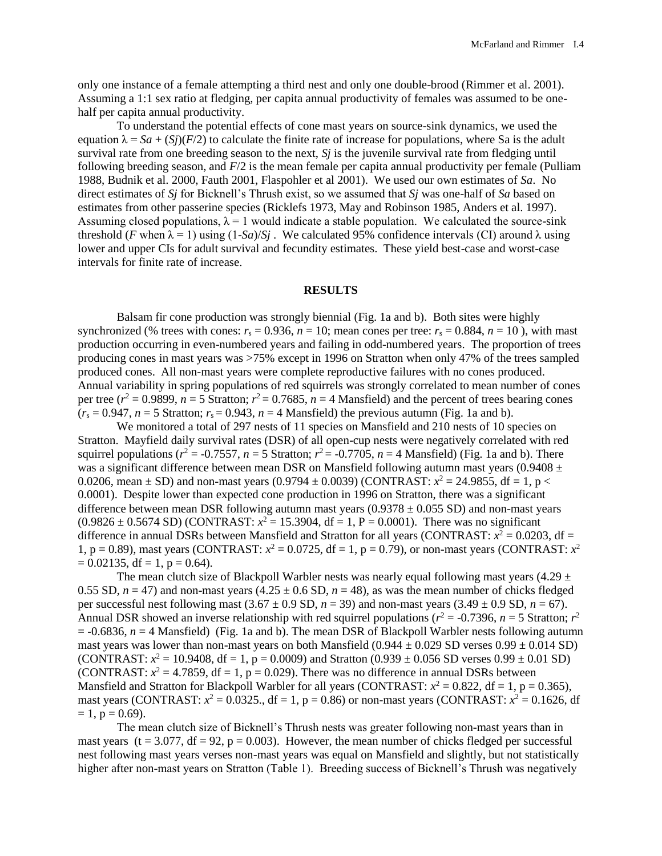only one instance of a female attempting a third nest and only one double-brood (Rimmer et al. 2001). Assuming a 1:1 sex ratio at fledging, per capita annual productivity of females was assumed to be onehalf per capita annual productivity.

To understand the potential effects of cone mast years on source-sink dynamics, we used the equation  $\lambda = Sa + (Si)(F/2)$  to calculate the finite rate of increase for populations, where Sa is the adult survival rate from one breeding season to the next, *Sj* is the juvenile survival rate from fledging until following breeding season, and *F*/2 is the mean female per capita annual productivity per female (Pulliam 1988, Budnik et al. 2000, Fauth 2001, Flaspohler et al 2001). We used our own estimates of *Sa*. No direct estimates of *Sj* for Bicknell's Thrush exist, so we assumed that *Sj* was one-half of *Sa* based on estimates from other passerine species (Ricklefs 1973, May and Robinson 1985, Anders et al. 1997). Assuming closed populations,  $\lambda = 1$  would indicate a stable population. We calculated the source-sink threshold (*F* when  $\lambda = 1$ ) using  $(1-Sa)/Sj$ . We calculated 95% confidence intervals (CI) around  $\lambda$  using lower and upper CIs for adult survival and fecundity estimates. These yield best-case and worst-case intervals for finite rate of increase.

#### **RESULTS**

Balsam fir cone production was strongly biennial (Fig. 1a and b). Both sites were highly synchronized (% trees with cones:  $r_s = 0.936$ ,  $n = 10$ ; mean cones per tree:  $r_s = 0.884$ ,  $n = 10$ ), with mast production occurring in even-numbered years and failing in odd-numbered years. The proportion of trees producing cones in mast years was >75% except in 1996 on Stratton when only 47% of the trees sampled produced cones. All non-mast years were complete reproductive failures with no cones produced. Annual variability in spring populations of red squirrels was strongly correlated to mean number of cones per tree ( $r^2 = 0.9899$ ,  $n = 5$  Stratton;  $r^2 = 0.7685$ ,  $n = 4$  Mansfield) and the percent of trees bearing cones  $(r<sub>s</sub> = 0.947, n = 5$  Stratton;  $r<sub>s</sub> = 0.943, n = 4$  Mansfield) the previous autumn (Fig. 1a and b).

We monitored a total of 297 nests of 11 species on Mansfield and 210 nests of 10 species on Stratton. Mayfield daily survival rates (DSR) of all open-cup nests were negatively correlated with red squirrel populations ( $r^2 = -0.7557$ ,  $n = 5$  Stratton;  $r^2 = -0.7705$ ,  $n = 4$  Mansfield) (Fig. 1a and b). There was a significant difference between mean DSR on Mansfield following autumn mast years (0.9408  $\pm$ 0.0206, mean  $\pm$  SD) and non-mast years (0.9794  $\pm$  0.0039) (CONTRAST:  $x^2$  = 24.9855, df = 1, p < 0.0001). Despite lower than expected cone production in 1996 on Stratton, there was a significant difference between mean DSR following autumn mast years  $(0.9378 \pm 0.055$  SD) and non-mast years  $(0.9826 \pm 0.5674$  SD) (CONTRAST:  $x^2 = 15.3904$ , df = 1, P = 0.0001). There was no significant difference in annual DSRs between Mansfield and Stratton for all years (CONTRAST:  $x^2 = 0.0203$ , df = 1,  $p = 0.89$ ), mast years (CONTRAST:  $x^2 = 0.0725$ , df = 1,  $p = 0.79$ ), or non-mast years (CONTRAST:  $x^2$  $= 0.02135$ , df = 1, p = 0.64).

The mean clutch size of Blackpoll Warbler nests was nearly equal following mast years  $(4.29 \pm 1)$ 0.55 SD,  $n = 47$ ) and non-mast years  $(4.25 \pm 0.6 \text{ SD}, n = 48)$ , as was the mean number of chicks fledged per successful nest following mast  $(3.67 \pm 0.9 \text{ SD}, n = 39)$  and non-mast years  $(3.49 \pm 0.9 \text{ SD}, n = 67)$ . Annual DSR showed an inverse relationship with red squirrel populations ( $r^2$  = -0.7396,  $n = 5$  Stratton;  $r^2$  $= -0.6836$ ,  $n = 4$  Mansfield) (Fig. 1a and b). The mean DSR of Blackpoll Warbler nests following autumn mast years was lower than non-mast years on both Mansfield  $(0.944 \pm 0.029$  SD verses  $0.99 \pm 0.014$  SD) (CONTRAST:  $x^2 = 10.9408$ , df = 1, p = 0.0009) and Stratton (0.939  $\pm$  0.056 SD verses 0.99  $\pm$  0.01 SD) (CONTRAST:  $x^2 = 4.7859$ , df = 1, p = 0.029). There was no difference in annual DSRs between Mansfield and Stratton for Blackpoll Warbler for all years (CONTRAST:  $x^2 = 0.822$ , df = 1, p = 0.365), mast years (CONTRAST:  $x^2 = 0.0325$ ., df = 1, p = 0.86) or non-mast years (CONTRAST:  $x^2 = 0.1626$ , df  $= 1$ ,  $p = 0.69$ ).

The mean clutch size of Bicknell's Thrush nests was greater following non-mast years than in mast years (t = 3.077, df = 92, p = 0.003). However, the mean number of chicks fledged per successful nest following mast years verses non-mast years was equal on Mansfield and slightly, but not statistically higher after non-mast years on Stratton (Table 1). Breeding success of Bicknell's Thrush was negatively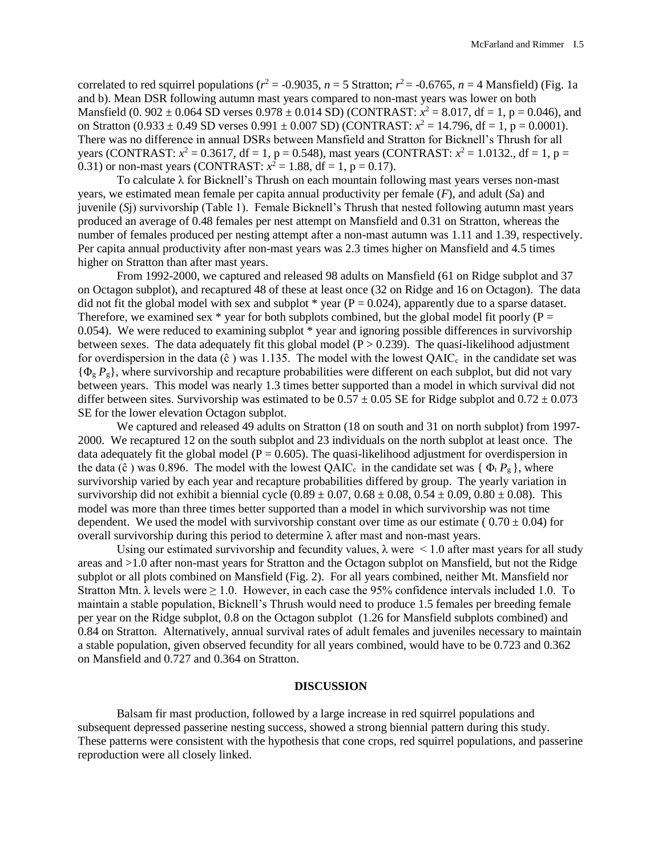correlated to red squirrel populations ( $r^2 = -0.9035$ ,  $n = 5$  Stratton;  $r^2 = -0.6765$ ,  $n = 4$  Mansfield) (Fig. 1a and b). Mean DSR following autumn mast years compared to non-mast years was lower on both Mansfield (0. 902  $\pm$  0.064 SD verses 0.978  $\pm$  0.014 SD) (CONTRAST:  $x^2 = 8.017$ , df = 1, p = 0.046), and on Stratton  $(0.933 \pm 0.49 \text{ SD} \text{ versus } 0.991 \pm 0.007 \text{ SD})$  (CONTRAST:  $x^2 = 14.796$ , df = 1, p = 0.0001). There was no difference in annual DSRs between Mansfield and Stratton for Bicknell's Thrush for all years (CONTRAST:  $x^2 = 0.3617$ , df = 1, p = 0.548), mast years (CONTRAST:  $x^2 = 1.0132$ ., df = 1, p = 0.31) or non-mast years (CONTRAST:  $x^2 = 1.88$ , df = 1, p = 0.17).

To calculate λ for Bicknell's Thrush on each mountain following mast years verses non-mast years, we estimated mean female per capita annual productivity per female (*F*), and adult (*S*a) and juvenile (*S*j) survivorship (Table 1). Female Bicknell's Thrush that nested following autumn mast years produced an average of 0.48 females per nest attempt on Mansfield and 0.31 on Stratton, whereas the number of females produced per nesting attempt after a non-mast autumn was 1.11 and 1.39, respectively. Per capita annual productivity after non-mast years was 2.3 times higher on Mansfield and 4.5 times higher on Stratton than after mast years.

From 1992-2000, we captured and released 98 adults on Mansfield (61 on Ridge subplot and 37 on Octagon subplot), and recaptured 48 of these at least once (32 on Ridge and 16 on Octagon). The data did not fit the global model with sex and subplot  $*$  year ( $P = 0.024$ ), apparently due to a sparse dataset. Therefore, we examined sex  $*$  year for both subplots combined, but the global model fit poorly (P = 0.054). We were reduced to examining subplot \* year and ignoring possible differences in survivorship between sexes. The data adequately fit this global model  $(P > 0.239)$ . The quasi-likelihood adjustment for overdispersion in the data ( $\hat{c}$ ) was 1.135. The model with the lowest QAIC<sub>c</sub> in the candidate set was {Φ<sup>g</sup> *P*g}, where survivorship and recapture probabilities were different on each subplot, but did not vary between years. This model was nearly 1.3 times better supported than a model in which survival did not differ between sites. Survivorship was estimated to be  $0.57 \pm 0.05$  SE for Ridge subplot and  $0.72 \pm 0.073$ SE for the lower elevation Octagon subplot.

We captured and released 49 adults on Stratton (18 on south and 31 on north subplot) from 1997- 2000. We recaptured 12 on the south subplot and 23 individuals on the north subplot at least once. The data adequately fit the global model ( $P = 0.605$ ). The quasi-likelihood adjustment for overdispersion in the data ( $\hat{c}$ ) was 0.896. The model with the lowest QAIC<sub>c</sub> in the candidate set was {  $\Phi_t P_g$  }, where survivorship varied by each year and recapture probabilities differed by group. The yearly variation in survivorship did not exhibit a biennial cycle  $(0.89 \pm 0.07, 0.68 \pm 0.08, 0.54 \pm 0.09, 0.80 \pm 0.08)$ . This model was more than three times better supported than a model in which survivorship was not time dependent. We used the model with survivorship constant over time as our estimate ( $0.70 \pm 0.04$ ) for overall survivorship during this period to determine λ after mast and non-mast years.

Using our estimated survivorship and fecundity values,  $\lambda$  were  $\leq 1.0$  after mast years for all study areas and >1.0 after non-mast years for Stratton and the Octagon subplot on Mansfield, but not the Ridge subplot or all plots combined on Mansfield (Fig. 2). For all years combined, neither Mt. Mansfield nor Stratton Mtn.  $\lambda$  levels were  $\geq 1.0$ . However, in each case the 95% confidence intervals included 1.0. To maintain a stable population, Bicknell's Thrush would need to produce 1.5 females per breeding female per year on the Ridge subplot, 0.8 on the Octagon subplot (1.26 for Mansfield subplots combined) and 0.84 on Stratton. Alternatively, annual survival rates of adult females and juveniles necessary to maintain a stable population, given observed fecundity for all years combined, would have to be 0.723 and 0.362 on Mansfield and 0.727 and 0.364 on Stratton.

## **DISCUSSION**

Balsam fir mast production, followed by a large increase in red squirrel populations and subsequent depressed passerine nesting success, showed a strong biennial pattern during this study. These patterns were consistent with the hypothesis that cone crops, red squirrel populations, and passerine reproduction were all closely linked.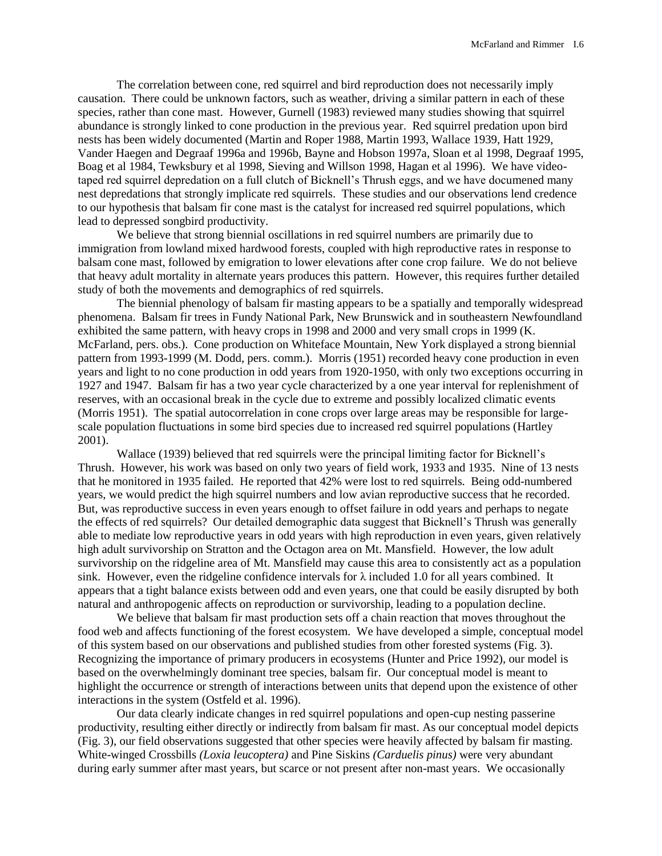The correlation between cone, red squirrel and bird reproduction does not necessarily imply causation. There could be unknown factors, such as weather, driving a similar pattern in each of these species, rather than cone mast. However, Gurnell (1983) reviewed many studies showing that squirrel abundance is strongly linked to cone production in the previous year. Red squirrel predation upon bird nests has been widely documented (Martin and Roper 1988, Martin 1993, Wallace 1939, Hatt 1929, Vander Haegen and Degraaf 1996a and 1996b, Bayne and Hobson 1997a, Sloan et al 1998, Degraaf 1995, Boag et al 1984, Tewksbury et al 1998, Sieving and Willson 1998, Hagan et al 1996). We have videotaped red squirrel depredation on a full clutch of Bicknell's Thrush eggs, and we have documened many nest depredations that strongly implicate red squirrels. These studies and our observations lend credence to our hypothesis that balsam fir cone mast is the catalyst for increased red squirrel populations, which lead to depressed songbird productivity.

We believe that strong biennial oscillations in red squirrel numbers are primarily due to immigration from lowland mixed hardwood forests, coupled with high reproductive rates in response to balsam cone mast, followed by emigration to lower elevations after cone crop failure. We do not believe that heavy adult mortality in alternate years produces this pattern. However, this requires further detailed study of both the movements and demographics of red squirrels.

The biennial phenology of balsam fir masting appears to be a spatially and temporally widespread phenomena. Balsam fir trees in Fundy National Park, New Brunswick and in southeastern Newfoundland exhibited the same pattern, with heavy crops in 1998 and 2000 and very small crops in 1999 (K. McFarland, pers. obs.). Cone production on Whiteface Mountain, New York displayed a strong biennial pattern from 1993-1999 (M. Dodd, pers. comm.). Morris (1951) recorded heavy cone production in even years and light to no cone production in odd years from 1920-1950, with only two exceptions occurring in 1927 and 1947. Balsam fir has a two year cycle characterized by a one year interval for replenishment of reserves, with an occasional break in the cycle due to extreme and possibly localized climatic events (Morris 1951). The spatial autocorrelation in cone crops over large areas may be responsible for largescale population fluctuations in some bird species due to increased red squirrel populations (Hartley 2001).

Wallace (1939) believed that red squirrels were the principal limiting factor for Bicknell's Thrush. However, his work was based on only two years of field work, 1933 and 1935. Nine of 13 nests that he monitored in 1935 failed. He reported that 42% were lost to red squirrels. Being odd-numbered years, we would predict the high squirrel numbers and low avian reproductive success that he recorded. But, was reproductive success in even years enough to offset failure in odd years and perhaps to negate the effects of red squirrels? Our detailed demographic data suggest that Bicknell's Thrush was generally able to mediate low reproductive years in odd years with high reproduction in even years, given relatively high adult survivorship on Stratton and the Octagon area on Mt. Mansfield. However, the low adult survivorship on the ridgeline area of Mt. Mansfield may cause this area to consistently act as a population sink. However, even the ridgeline confidence intervals for  $\lambda$  included 1.0 for all years combined. It appears that a tight balance exists between odd and even years, one that could be easily disrupted by both natural and anthropogenic affects on reproduction or survivorship, leading to a population decline.

We believe that balsam fir mast production sets off a chain reaction that moves throughout the food web and affects functioning of the forest ecosystem. We have developed a simple, conceptual model of this system based on our observations and published studies from other forested systems (Fig. 3). Recognizing the importance of primary producers in ecosystems (Hunter and Price 1992), our model is based on the overwhelmingly dominant tree species, balsam fir. Our conceptual model is meant to highlight the occurrence or strength of interactions between units that depend upon the existence of other interactions in the system (Ostfeld et al. 1996).

Our data clearly indicate changes in red squirrel populations and open-cup nesting passerine productivity, resulting either directly or indirectly from balsam fir mast. As our conceptual model depicts (Fig. 3), our field observations suggested that other species were heavily affected by balsam fir masting. White-winged Crossbills *(Loxia leucoptera)* and Pine Siskins *(Carduelis pinus)* were very abundant during early summer after mast years, but scarce or not present after non-mast years. We occasionally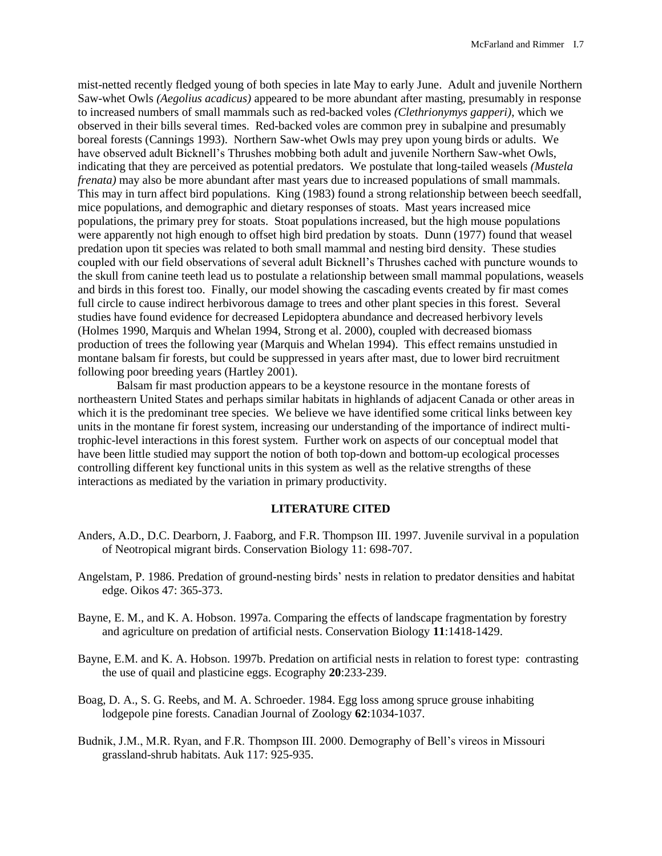mist-netted recently fledged young of both species in late May to early June. Adult and juvenile Northern Saw-whet Owls *(Aegolius acadicus)* appeared to be more abundant after masting, presumably in response to increased numbers of small mammals such as red-backed voles *(Clethrionymys gapperi)*, which we observed in their bills several times. Red-backed voles are common prey in subalpine and presumably boreal forests (Cannings 1993). Northern Saw-whet Owls may prey upon young birds or adults. We have observed adult Bicknell's Thrushes mobbing both adult and juvenile Northern Saw-whet Owls, indicating that they are perceived as potential predators. We postulate that long-tailed weasels *(Mustela frenata*) may also be more abundant after mast years due to increased populations of small mammals. This may in turn affect bird populations. King (1983) found a strong relationship between beech seedfall, mice populations, and demographic and dietary responses of stoats. Mast years increased mice populations, the primary prey for stoats. Stoat populations increased, but the high mouse populations were apparently not high enough to offset high bird predation by stoats. Dunn (1977) found that weasel predation upon tit species was related to both small mammal and nesting bird density. These studies coupled with our field observations of several adult Bicknell's Thrushes cached with puncture wounds to the skull from canine teeth lead us to postulate a relationship between small mammal populations, weasels and birds in this forest too. Finally, our model showing the cascading events created by fir mast comes full circle to cause indirect herbivorous damage to trees and other plant species in this forest. Several studies have found evidence for decreased Lepidoptera abundance and decreased herbivory levels (Holmes 1990, Marquis and Whelan 1994, Strong et al. 2000), coupled with decreased biomass production of trees the following year (Marquis and Whelan 1994). This effect remains unstudied in montane balsam fir forests, but could be suppressed in years after mast, due to lower bird recruitment following poor breeding years (Hartley 2001).

Balsam fir mast production appears to be a keystone resource in the montane forests of northeastern United States and perhaps similar habitats in highlands of adjacent Canada or other areas in which it is the predominant tree species. We believe we have identified some critical links between key units in the montane fir forest system, increasing our understanding of the importance of indirect multitrophic-level interactions in this forest system. Further work on aspects of our conceptual model that have been little studied may support the notion of both top-down and bottom-up ecological processes controlling different key functional units in this system as well as the relative strengths of these interactions as mediated by the variation in primary productivity.

## **LITERATURE CITED**

- Anders, A.D., D.C. Dearborn, J. Faaborg, and F.R. Thompson III. 1997. Juvenile survival in a population of Neotropical migrant birds. Conservation Biology 11: 698-707.
- Angelstam, P. 1986. Predation of ground-nesting birds' nests in relation to predator densities and habitat edge. Oikos 47: 365-373.
- Bayne, E. M., and K. A. Hobson. 1997a. Comparing the effects of landscape fragmentation by forestry and agriculture on predation of artificial nests. Conservation Biology **11**:1418-1429.
- Bayne, E.M. and K. A. Hobson. 1997b. Predation on artificial nests in relation to forest type: contrasting the use of quail and plasticine eggs. Ecography **20**:233-239.
- Boag, D. A., S. G. Reebs, and M. A. Schroeder. 1984. Egg loss among spruce grouse inhabiting lodgepole pine forests. Canadian Journal of Zoology **62**:1034-1037.
- Budnik, J.M., M.R. Ryan, and F.R. Thompson III. 2000. Demography of Bell's vireos in Missouri grassland-shrub habitats. Auk 117: 925-935.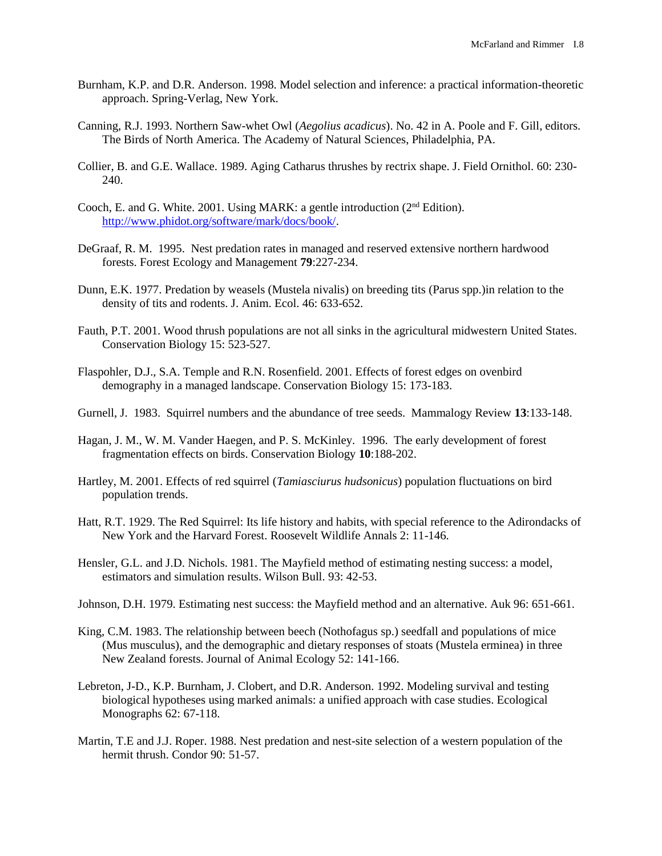- Burnham, K.P. and D.R. Anderson. 1998. Model selection and inference: a practical information-theoretic approach. Spring-Verlag, New York.
- Canning, R.J. 1993. Northern Saw-whet Owl (*Aegolius acadicus*). No. 42 in A. Poole and F. Gill, editors. The Birds of North America. The Academy of Natural Sciences, Philadelphia, PA.
- Collier, B. and G.E. Wallace. 1989. Aging Catharus thrushes by rectrix shape. J. Field Ornithol. 60: 230- 240.
- Cooch, E. and G. White. 2001. Using MARK: a gentle introduction (2nd Edition). [http://www.phidot.org/software/mark/docs/book/.](http://www.phidot.org/software/mark/docs/book/)
- DeGraaf, R. M. 1995. Nest predation rates in managed and reserved extensive northern hardwood forests. Forest Ecology and Management **79**:227-234.
- Dunn, E.K. 1977. Predation by weasels (Mustela nivalis) on breeding tits (Parus spp.)in relation to the density of tits and rodents. J. Anim. Ecol. 46: 633-652.
- Fauth, P.T. 2001. Wood thrush populations are not all sinks in the agricultural midwestern United States. Conservation Biology 15: 523-527.
- Flaspohler, D.J., S.A. Temple and R.N. Rosenfield. 2001. Effects of forest edges on ovenbird demography in a managed landscape. Conservation Biology 15: 173-183.
- Gurnell, J. 1983. Squirrel numbers and the abundance of tree seeds. Mammalogy Review **13**:133-148.
- Hagan, J. M., W. M. Vander Haegen, and P. S. McKinley. 1996. The early development of forest fragmentation effects on birds. Conservation Biology **10**:188-202.
- Hartley, M. 2001. Effects of red squirrel (*Tamiasciurus hudsonicus*) population fluctuations on bird population trends.
- Hatt, R.T. 1929. The Red Squirrel: Its life history and habits, with special reference to the Adirondacks of New York and the Harvard Forest. Roosevelt Wildlife Annals 2: 11-146.
- Hensler, G.L. and J.D. Nichols. 1981. The Mayfield method of estimating nesting success: a model, estimators and simulation results. Wilson Bull. 93: 42-53.
- Johnson, D.H. 1979. Estimating nest success: the Mayfield method and an alternative. Auk 96: 651-661.
- King, C.M. 1983. The relationship between beech (Nothofagus sp.) seedfall and populations of mice (Mus musculus), and the demographic and dietary responses of stoats (Mustela erminea) in three New Zealand forests. Journal of Animal Ecology 52: 141-166.
- Lebreton, J-D., K.P. Burnham, J. Clobert, and D.R. Anderson. 1992. Modeling survival and testing biological hypotheses using marked animals: a unified approach with case studies. Ecological Monographs 62: 67-118.
- Martin, T.E and J.J. Roper. 1988. Nest predation and nest-site selection of a western population of the hermit thrush. Condor 90: 51-57.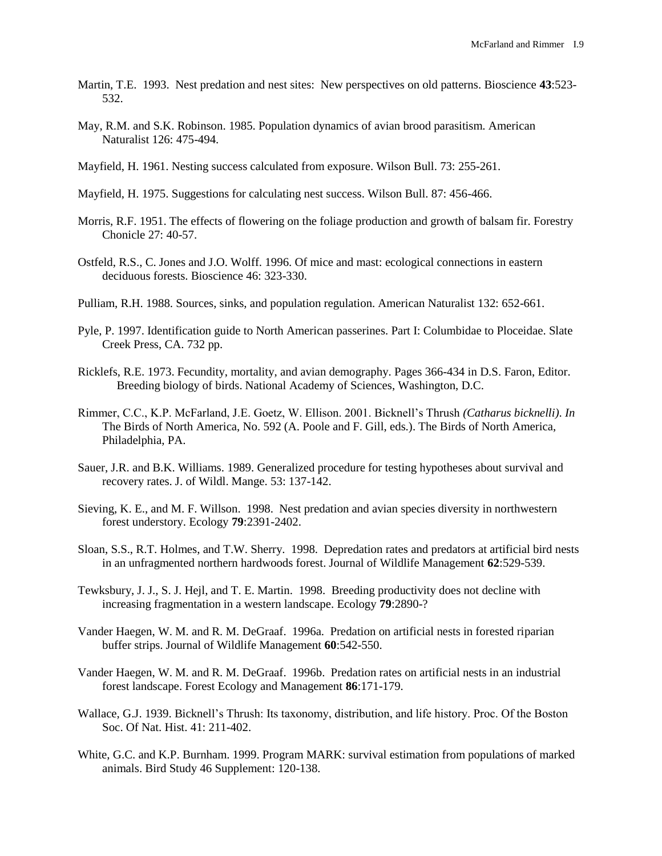- Martin, T.E. 1993. Nest predation and nest sites: New perspectives on old patterns. Bioscience **43**:523- 532.
- May, R.M. and S.K. Robinson. 1985. Population dynamics of avian brood parasitism. American Naturalist 126: 475-494.
- Mayfield, H. 1961. Nesting success calculated from exposure. Wilson Bull. 73: 255-261.
- Mayfield, H. 1975. Suggestions for calculating nest success. Wilson Bull. 87: 456-466.
- Morris, R.F. 1951. The effects of flowering on the foliage production and growth of balsam fir. Forestry Chonicle 27: 40-57.
- Ostfeld, R.S., C. Jones and J.O. Wolff. 1996. Of mice and mast: ecological connections in eastern deciduous forests. Bioscience 46: 323-330.
- Pulliam, R.H. 1988. Sources, sinks, and population regulation. American Naturalist 132: 652-661.
- Pyle, P. 1997. Identification guide to North American passerines. Part I: Columbidae to Ploceidae. Slate Creek Press, CA. 732 pp.
- Ricklefs, R.E. 1973. Fecundity, mortality, and avian demography. Pages 366-434 in D.S. Faron, Editor. Breeding biology of birds. National Academy of Sciences, Washington, D.C.
- Rimmer, C.C., K.P. McFarland, J.E. Goetz, W. Ellison. 2001. Bicknell's Thrush *(Catharus bicknelli)*. *In* The Birds of North America, No. 592 (A. Poole and F. Gill, eds.). The Birds of North America, Philadelphia, PA.
- Sauer, J.R. and B.K. Williams. 1989. Generalized procedure for testing hypotheses about survival and recovery rates. J. of Wildl. Mange. 53: 137-142.
- Sieving, K. E., and M. F. Willson. 1998. Nest predation and avian species diversity in northwestern forest understory. Ecology **79**:2391-2402.
- Sloan, S.S., R.T. Holmes, and T.W. Sherry. 1998. Depredation rates and predators at artificial bird nests in an unfragmented northern hardwoods forest. Journal of Wildlife Management **62**:529-539.
- Tewksbury, J. J., S. J. Hejl, and T. E. Martin. 1998. Breeding productivity does not decline with increasing fragmentation in a western landscape. Ecology **79**:2890-?
- Vander Haegen, W. M. and R. M. DeGraaf. 1996a. Predation on artificial nests in forested riparian buffer strips. Journal of Wildlife Management **60**:542-550.
- Vander Haegen, W. M. and R. M. DeGraaf. 1996b. Predation rates on artificial nests in an industrial forest landscape. Forest Ecology and Management **86**:171-179.
- Wallace, G.J. 1939. Bicknell's Thrush: Its taxonomy, distribution, and life history. Proc. Of the Boston Soc. Of Nat. Hist. 41: 211-402.
- White, G.C. and K.P. Burnham. 1999. Program MARK: survival estimation from populations of marked animals. Bird Study 46 Supplement: 120-138.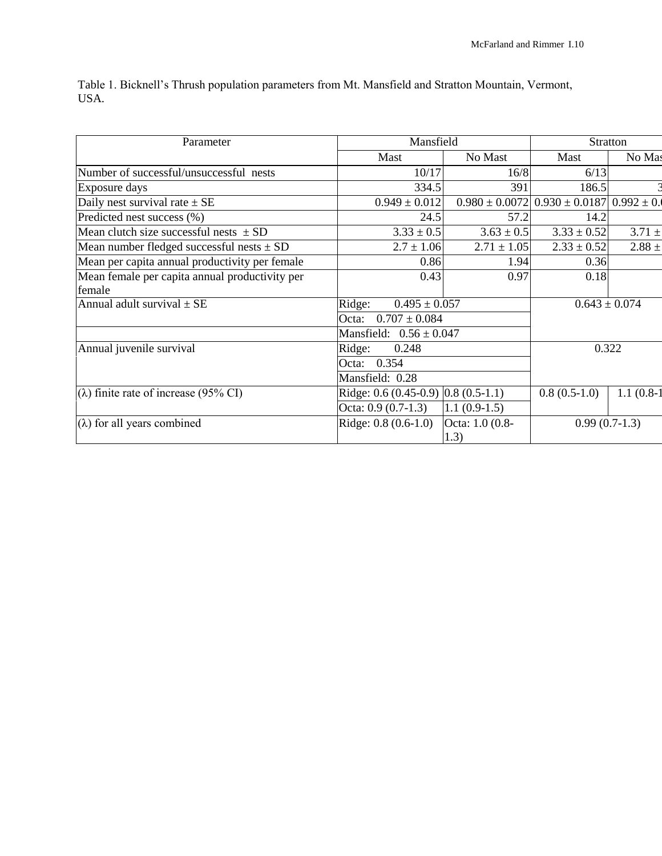Table 1. Bicknell's Thrush population parameters from Mt. Mansfield and Stratton Mountain, Vermont, USA.

| Parameter                                      | Mansfield                                             | <b>Stratton</b>         |                                   |              |  |  |  |
|------------------------------------------------|-------------------------------------------------------|-------------------------|-----------------------------------|--------------|--|--|--|
|                                                | <b>Mast</b>                                           | No Mast                 | Mast                              | No Mas       |  |  |  |
| Number of successful/unsuccessful nests        | 10/17                                                 | 16/8                    | 6/13                              |              |  |  |  |
| Exposure days                                  | 334.5                                                 | 391                     | 186.5                             |              |  |  |  |
| Daily nest survival rate $\pm$ SE              | $0.949 \pm 0.012$                                     | $0.980 \pm 0.0072$      | $0.930 \pm 0.0187$ 0.992 $\pm$ 0. |              |  |  |  |
| Predicted nest success (%)                     | 24.5                                                  | 57.2                    | 14.2                              |              |  |  |  |
| Mean clutch size successful nests $\pm$ SD     | $3.33 \pm 0.5$                                        | $3.63 \pm 0.5$          | $3.33 \pm 0.52$                   | $3.71 \pm$   |  |  |  |
| Mean number fledged successful nests $\pm$ SD  | $2.7 \pm 1.06$                                        | $2.71 \pm 1.05$         | $2.33 \pm 0.52$                   | $2.88 +$     |  |  |  |
| Mean per capita annual productivity per female | 0.86                                                  | 1.94                    | 0.36                              |              |  |  |  |
| Mean female per capita annual productivity per | 0.43                                                  | 0.97                    | 0.18                              |              |  |  |  |
| female                                         |                                                       |                         |                                   |              |  |  |  |
| Annual adult survival $\pm$ SE                 | $0.495 \pm 0.057$<br>Ridge:                           |                         | $0.643 \pm 0.074$                 |              |  |  |  |
|                                                | $0.707 \pm 0.084$<br>Octa:                            |                         |                                   |              |  |  |  |
|                                                | Mansfield: $0.56 \pm 0.047$                           |                         |                                   |              |  |  |  |
| Annual juvenile survival                       | Ridge:<br>0.248                                       |                         | 0.322                             |              |  |  |  |
|                                                | 0.354<br>Octa:                                        |                         |                                   |              |  |  |  |
|                                                | Mansfield: 0.28                                       |                         |                                   |              |  |  |  |
| $(\lambda)$ finite rate of increase (95% CI)   | Ridge: $0.6 (0.45{\text -}0.9) 0.8 (0.5{\text -}1.1)$ |                         | $0.8(0.5-1.0)$                    | $1.1(0.8-1)$ |  |  |  |
|                                                | Octa: $0.9(0.7-1.3)$                                  | $1.1(0.9-1.5)$          |                                   |              |  |  |  |
| $(\lambda)$ for all years combined             | Ridge: 0.8 (0.6-1.0)                                  | Octa: 1.0 (0.8-<br>1.3) | $0.99(0.7-1.3)$                   |              |  |  |  |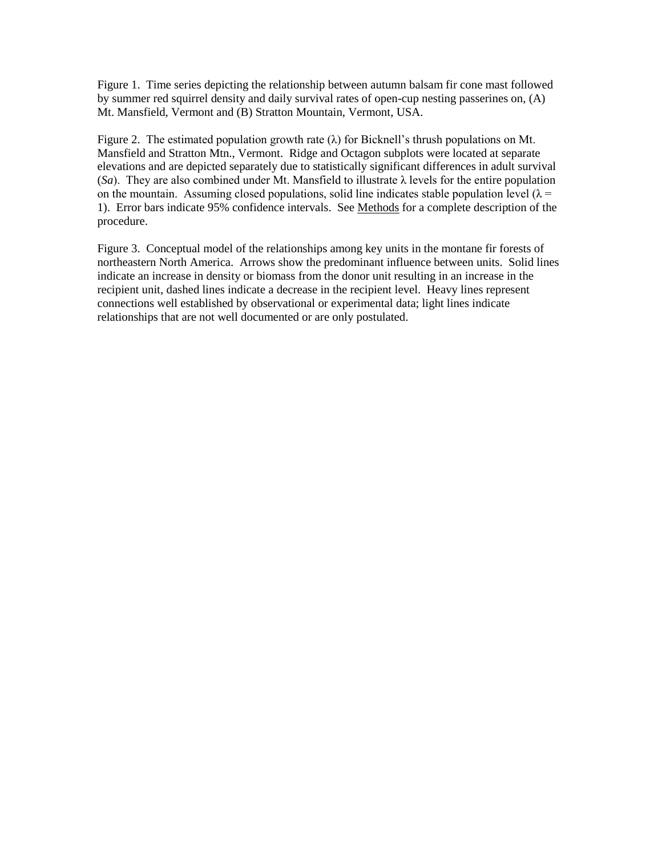Figure 1. Time series depicting the relationship between autumn balsam fir cone mast followed by summer red squirrel density and daily survival rates of open-cup nesting passerines on, (A) Mt. Mansfield, Vermont and (B) Stratton Mountain, Vermont, USA.

Figure 2. The estimated population growth rate  $(\lambda)$  for Bicknell's thrush populations on Mt. Mansfield and Stratton Mtn., Vermont. Ridge and Octagon subplots were located at separate elevations and are depicted separately due to statistically significant differences in adult survival (*Sa*). They are also combined under Mt. Mansfield to illustrate  $\lambda$  levels for the entire population on the mountain. Assuming closed populations, solid line indicates stable population level  $(\lambda =$ 1). Error bars indicate 95% confidence intervals. See Methods for a complete description of the procedure.

Figure 3. Conceptual model of the relationships among key units in the montane fir forests of northeastern North America. Arrows show the predominant influence between units. Solid lines indicate an increase in density or biomass from the donor unit resulting in an increase in the recipient unit, dashed lines indicate a decrease in the recipient level. Heavy lines represent connections well established by observational or experimental data; light lines indicate relationships that are not well documented or are only postulated.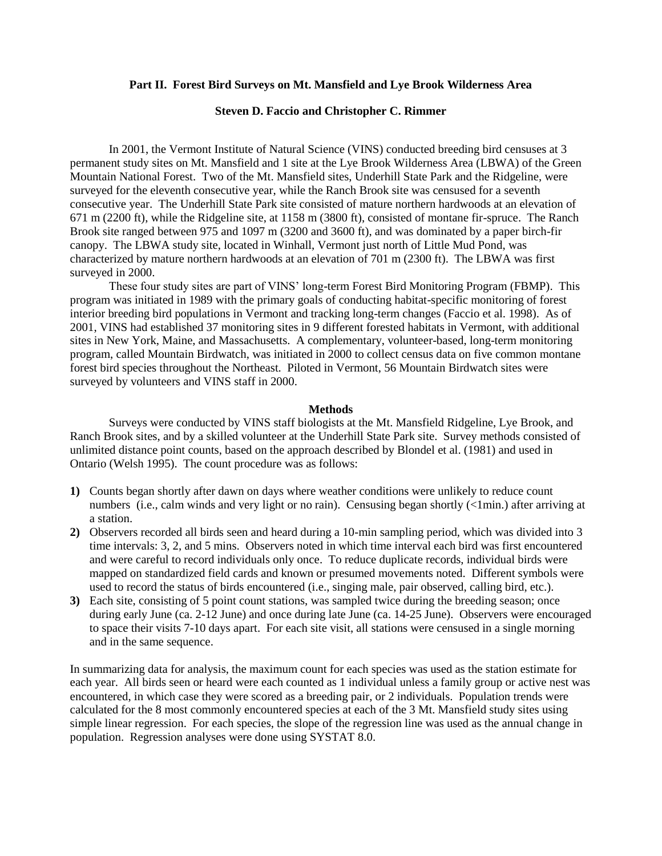## **Part II. Forest Bird Surveys on Mt. Mansfield and Lye Brook Wilderness Area**

## **Steven D. Faccio and Christopher C. Rimmer**

In 2001, the Vermont Institute of Natural Science (VINS) conducted breeding bird censuses at 3 permanent study sites on Mt. Mansfield and 1 site at the Lye Brook Wilderness Area (LBWA) of the Green Mountain National Forest. Two of the Mt. Mansfield sites, Underhill State Park and the Ridgeline, were surveyed for the eleventh consecutive year, while the Ranch Brook site was censused for a seventh consecutive year. The Underhill State Park site consisted of mature northern hardwoods at an elevation of 671 m (2200 ft), while the Ridgeline site, at 1158 m (3800 ft), consisted of montane fir-spruce. The Ranch Brook site ranged between 975 and 1097 m (3200 and 3600 ft), and was dominated by a paper birch-fir canopy. The LBWA study site, located in Winhall, Vermont just north of Little Mud Pond, was characterized by mature northern hardwoods at an elevation of 701 m (2300 ft). The LBWA was first surveyed in 2000.

These four study sites are part of VINS' long-term Forest Bird Monitoring Program (FBMP). This program was initiated in 1989 with the primary goals of conducting habitat-specific monitoring of forest interior breeding bird populations in Vermont and tracking long-term changes (Faccio et al. 1998). As of 2001, VINS had established 37 monitoring sites in 9 different forested habitats in Vermont, with additional sites in New York, Maine, and Massachusetts. A complementary, volunteer-based, long-term monitoring program, called Mountain Birdwatch, was initiated in 2000 to collect census data on five common montane forest bird species throughout the Northeast. Piloted in Vermont, 56 Mountain Birdwatch sites were surveyed by volunteers and VINS staff in 2000.

#### **Methods**

Surveys were conducted by VINS staff biologists at the Mt. Mansfield Ridgeline, Lye Brook, and Ranch Brook sites, and by a skilled volunteer at the Underhill State Park site. Survey methods consisted of unlimited distance point counts, based on the approach described by Blondel et al. (1981) and used in Ontario (Welsh 1995). The count procedure was as follows:

- **1)** Counts began shortly after dawn on days where weather conditions were unlikely to reduce count numbers (i.e., calm winds and very light or no rain). Censusing began shortly (<1min.) after arriving at a station.
- **2)** Observers recorded all birds seen and heard during a 10-min sampling period, which was divided into 3 time intervals: 3, 2, and 5 mins. Observers noted in which time interval each bird was first encountered and were careful to record individuals only once. To reduce duplicate records, individual birds were mapped on standardized field cards and known or presumed movements noted. Different symbols were used to record the status of birds encountered (i.e., singing male, pair observed, calling bird, etc.).
- **3)** Each site, consisting of 5 point count stations, was sampled twice during the breeding season; once during early June (ca. 2-12 June) and once during late June (ca. 14-25 June). Observers were encouraged to space their visits 7-10 days apart. For each site visit, all stations were censused in a single morning and in the same sequence.

In summarizing data for analysis, the maximum count for each species was used as the station estimate for each year. All birds seen or heard were each counted as 1 individual unless a family group or active nest was encountered, in which case they were scored as a breeding pair, or 2 individuals. Population trends were calculated for the 8 most commonly encountered species at each of the 3 Mt. Mansfield study sites using simple linear regression. For each species, the slope of the regression line was used as the annual change in population. Regression analyses were done using SYSTAT 8.0.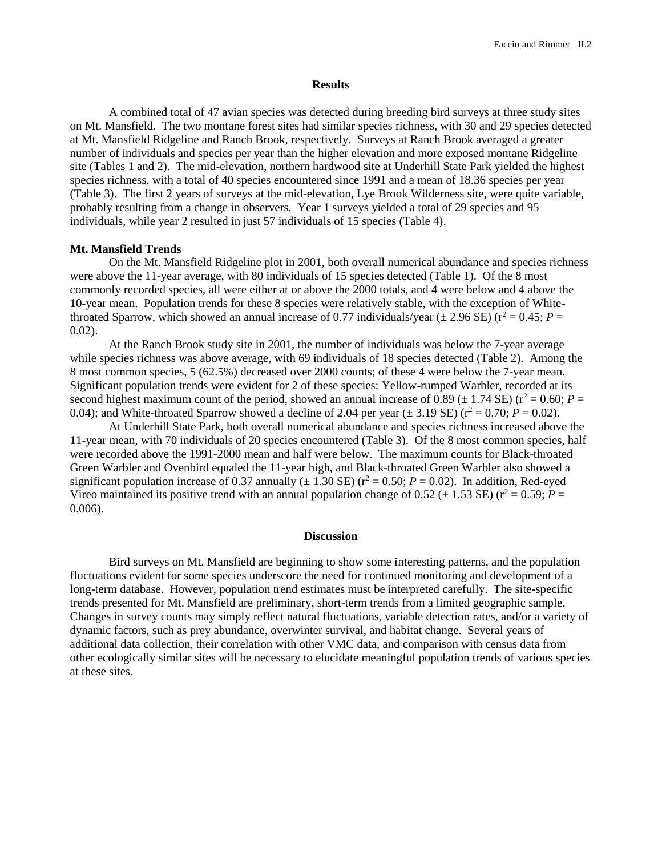#### **Results**

A combined total of 47 avian species was detected during breeding bird surveys at three study sites on Mt. Mansfield. The two montane forest sites had similar species richness, with 30 and 29 species detected at Mt. Mansfield Ridgeline and Ranch Brook, respectively. Surveys at Ranch Brook averaged a greater number of individuals and species per year than the higher elevation and more exposed montane Ridgeline site (Tables 1 and 2). The mid-elevation, northern hardwood site at Underhill State Park yielded the highest species richness, with a total of 40 species encountered since 1991 and a mean of 18.36 species per year (Table 3). The first 2 years of surveys at the mid-elevation, Lye Brook Wilderness site, were quite variable, probably resulting from a change in observers. Year 1 surveys yielded a total of 29 species and 95 individuals, while year 2 resulted in just 57 individuals of 15 species (Table 4).

## **Mt. Mansfield Trends**

On the Mt. Mansfield Ridgeline plot in 2001, both overall numerical abundance and species richness were above the 11-year average, with 80 individuals of 15 species detected (Table 1). Of the 8 most commonly recorded species, all were either at or above the 2000 totals, and 4 were below and 4 above the 10-year mean. Population trends for these 8 species were relatively stable, with the exception of Whitethroated Sparrow, which showed an annual increase of 0.77 individuals/year ( $\pm$  2.96 SE) ( $r^2$  = 0.45; *P* =  $0.02$ ).

At the Ranch Brook study site in 2001, the number of individuals was below the 7-year average while species richness was above average, with 69 individuals of 18 species detected (Table 2). Among the 8 most common species, 5 (62.5%) decreased over 2000 counts; of these 4 were below the 7-year mean. Significant population trends were evident for 2 of these species: Yellow-rumped Warbler, recorded at its second highest maximum count of the period, showed an annual increase of 0.89 ( $\pm$  1.74 SE) ( $r^2$  = 0.60; *P* = 0.04); and White-throated Sparrow showed a decline of 2.04 per year ( $\pm$  3.19 SE) ( $r^2$  = 0.70; *P* = 0.02).

At Underhill State Park, both overall numerical abundance and species richness increased above the 11-year mean, with 70 individuals of 20 species encountered (Table 3). Of the 8 most common species, half were recorded above the 1991-2000 mean and half were below. The maximum counts for Black-throated Green Warbler and Ovenbird equaled the 11-year high, and Black-throated Green Warbler also showed a significant population increase of 0.37 annually ( $\pm$  1.30 SE) ( $r^2$  = 0.50; *P* = 0.02). In addition, Red-eyed Vireo maintained its positive trend with an annual population change of  $0.52 (\pm 1.53 \text{ SE})$  ( $r^2 = 0.59$ ;  $P =$ 0.006).

## **Discussion**

Bird surveys on Mt. Mansfield are beginning to show some interesting patterns, and the population fluctuations evident for some species underscore the need for continued monitoring and development of a long-term database. However, population trend estimates must be interpreted carefully. The site-specific trends presented for Mt. Mansfield are preliminary, short-term trends from a limited geographic sample. Changes in survey counts may simply reflect natural fluctuations, variable detection rates, and/or a variety of dynamic factors, such as prey abundance, overwinter survival, and habitat change. Several years of additional data collection, their correlation with other VMC data, and comparison with census data from other ecologically similar sites will be necessary to elucidate meaningful population trends of various species at these sites.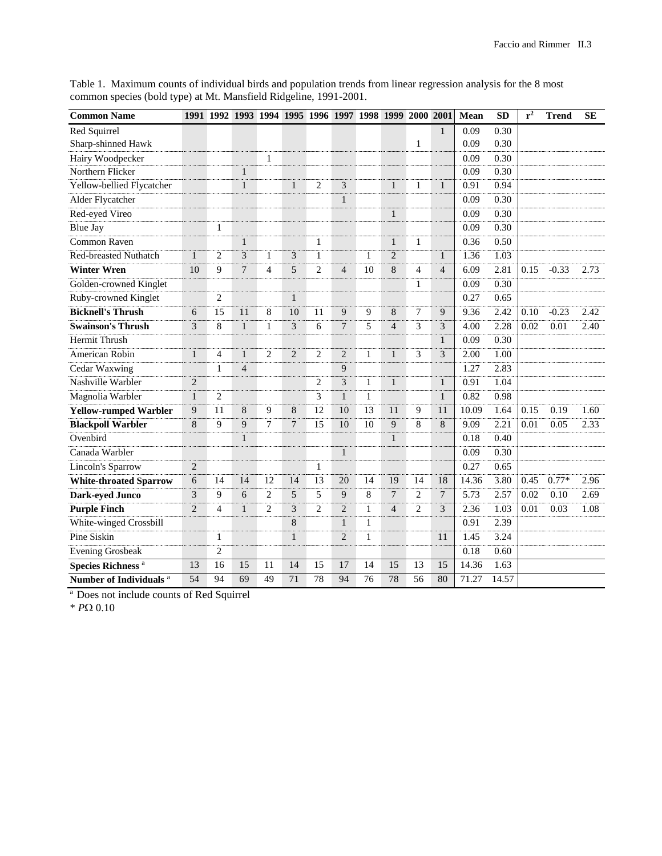| <b>Common Name</b>                 |                |                | 1991 1992 1993 1994 1995 1996 1997 1998 1999 2000 2001 |                |                |                |                |              |                |                |                | Mean  | <b>SD</b> | $r^2$ | <b>Trend</b> | <b>SE</b> |
|------------------------------------|----------------|----------------|--------------------------------------------------------|----------------|----------------|----------------|----------------|--------------|----------------|----------------|----------------|-------|-----------|-------|--------------|-----------|
| Red Squirrel                       |                |                |                                                        |                |                |                |                |              |                |                | 1              | 0.09  | 0.30      |       |              |           |
| Sharp-shinned Hawk                 |                |                |                                                        |                |                |                |                |              |                | 1              |                | 0.09  | 0.30      |       |              |           |
| Hairy Woodpecker                   |                |                |                                                        | 1              |                |                |                |              |                |                |                | 0.09  | 0.30      |       |              |           |
| Northern Flicker                   |                |                | $\mathbf{1}$                                           |                |                |                |                |              |                |                |                | 0.09  | 0.30      |       |              |           |
| Yellow-bellied Flycatcher          |                |                | $\mathbf{1}$                                           |                | $\mathbf{1}$   | $\overline{2}$ | 3              |              | $\mathbf{1}$   | 1              | $\mathbf{1}$   | 0.91  | 0.94      |       |              |           |
| Alder Flycatcher                   |                |                |                                                        |                |                |                | $\mathbf{1}$   |              |                |                |                | 0.09  | 0.30      |       |              |           |
| Red-eyed Vireo                     |                |                |                                                        |                |                |                |                |              | $\mathbf{1}$   |                |                | 0.09  | 0.30      |       |              |           |
| <b>Blue Jay</b>                    |                | 1              |                                                        |                |                |                |                |              |                |                |                | 0.09  | 0.30      |       |              |           |
| Common Raven                       |                |                | $\mathbf{1}$                                           |                |                | 1              |                |              | $\mathbf{1}$   | $\mathbf{1}$   |                | 0.36  | 0.50      |       |              |           |
| <b>Red-breasted Nuthatch</b>       | $\mathbf{1}$   | $\overline{c}$ | $\overline{3}$                                         | $\mathbf{1}$   | 3              | 1              |                | $\mathbf{1}$ | $\overline{2}$ |                | $\mathbf{1}$   | 1.36  | 1.03      |       |              |           |
| <b>Winter Wren</b>                 | 10             | 9              | $\overline{7}$                                         | 4              | 5              | $\overline{c}$ | $\overline{4}$ | 10           | 8              | 4              | $\overline{4}$ | 6.09  | 2.81      | 0.15  | $-0.33$      | 2.73      |
| Golden-crowned Kinglet             |                |                |                                                        |                |                |                |                |              |                | 1              |                | 0.09  | 0.30      |       |              |           |
| Ruby-crowned Kinglet               |                | $\overline{2}$ |                                                        |                | $\mathbf{1}$   |                |                |              |                |                |                | 0.27  | 0.65      |       |              |           |
| <b>Bicknell's Thrush</b>           | 6              | 15             | 11                                                     | 8              | 10             | 11             | 9              | 9            | 8              | 7              | 9              | 9.36  | 2.42      | 0.10  | $-0.23$      | 2.42      |
| <b>Swainson's Thrush</b>           | 3              | 8              | $\mathbf{1}$                                           | 1              | 3              | 6              | 7              | 5            | $\overline{4}$ | 3              | 3              | 4.00  | 2.28      | 0.02  | 0.01         | 2.40      |
| <b>Hermit Thrush</b>               |                |                |                                                        |                |                |                |                |              |                |                | 1              | 0.09  | 0.30      |       |              |           |
| American Robin                     | 1              | $\overline{4}$ | $\mathbf{1}$                                           | $\overline{c}$ | $\overline{2}$ | $\overline{2}$ | $\sqrt{2}$     | $\mathbf{1}$ | $\mathbf{1}$   | 3              | 3              | 2.00  | 1.00      |       |              |           |
| Cedar Waxwing                      |                | 1              | $\overline{4}$                                         |                |                |                | 9              |              |                |                |                | 1.27  | 2.83      |       |              |           |
| Nashville Warbler                  | $\overline{2}$ |                |                                                        |                |                | 2              | 3              | $\mathbf{1}$ | $\mathbf{1}$   |                | $\mathbf{1}$   | 0.91  | 1.04      |       |              |           |
| Magnolia Warbler                   | 1              | $\overline{2}$ |                                                        |                |                | 3              | $\mathbf{1}$   | $\mathbf{1}$ |                |                | $\mathbf{1}$   | 0.82  | 0.98      |       |              |           |
| <b>Yellow-rumped Warbler</b>       | 9              | 11             | 8                                                      | 9              | 8              | 12             | 10             | 13           | 11             | 9              | 11             | 10.09 | 1.64      | 0.15  | 0.19         | 1.60      |
| <b>Blackpoll Warbler</b>           | 8              | 9              | 9                                                      | 7              | 7              | 15             | 10             | 10           | 9              | 8              | $\,8\,$        | 9.09  | 2.21      | 0.01  | 0.05         | 2.33      |
| Ovenbird                           |                |                | $\mathbf{1}$                                           |                |                |                |                |              | $\mathbf{1}$   |                |                | 0.18  | 0.40      |       |              |           |
| Canada Warbler                     |                |                |                                                        |                |                |                | $\mathbf{1}$   |              |                |                |                | 0.09  | 0.30      |       |              |           |
| Lincoln's Sparrow                  | 2              |                |                                                        |                |                | $\mathbf{1}$   |                |              |                |                |                | 0.27  | 0.65      |       |              |           |
| <b>White-throated Sparrow</b>      | 6              | 14             | 14                                                     | 12             | 14             | 13             | 20             | 14           | 19             | 14             | 18             | 14.36 | 3.80      | 0.45  | $0.77*$      | 2.96      |
| Dark-eyed Junco                    | 3              | 9              | 6                                                      | $\overline{c}$ | 5              | 5              | 9              | 8            | $\overline{7}$ | $\overline{c}$ | 7              | 5.73  | 2.57      | 0.02  | 0.10         | 2.69      |
| <b>Purple Finch</b>                | $\overline{2}$ | 4              | $\mathbf{1}$                                           | $\overline{c}$ | 3              | $\overline{2}$ | $\sqrt{2}$     | $\mathbf{1}$ | $\overline{4}$ | $\overline{c}$ | 3              | 2.36  | 1.03      | 0.01  | 0.03         | 1.08      |
| White-winged Crossbill             |                |                |                                                        |                | 8              |                | $\mathbf{1}$   | $\mathbf{1}$ |                |                |                | 0.91  | 2.39      |       |              |           |
| Pine Siskin                        |                | 1              |                                                        |                | $\mathbf{1}$   |                | $\overline{2}$ | $\mathbf{1}$ |                |                | 11             | 1.45  | 3.24      |       |              |           |
| <b>Evening Grosbeak</b>            |                | $\overline{c}$ |                                                        |                |                |                |                |              |                |                |                | 0.18  | 0.60      |       |              |           |
| Species Richness <sup>a</sup>      | 13             | 16             | 15                                                     | 11             | 14             | 15             | 17             | 14           | 15             | 13             | 15             | 14.36 | 1.63      |       |              |           |
| Number of Individuals <sup>a</sup> | 54             | 94             | 69                                                     | 49             | 71             | 78             | 94             | 76           | 78             | 56             | 80             | 71.27 | 14.57     |       |              |           |

Table 1. Maximum counts of individual birds and population trends from linear regression analysis for the 8 most common species (bold type) at Mt. Mansfield Ridgeline, 1991-2001.

<sup>a</sup> Does not include counts of Red Squirrel

 $*$  *P* $\Omega$  0.10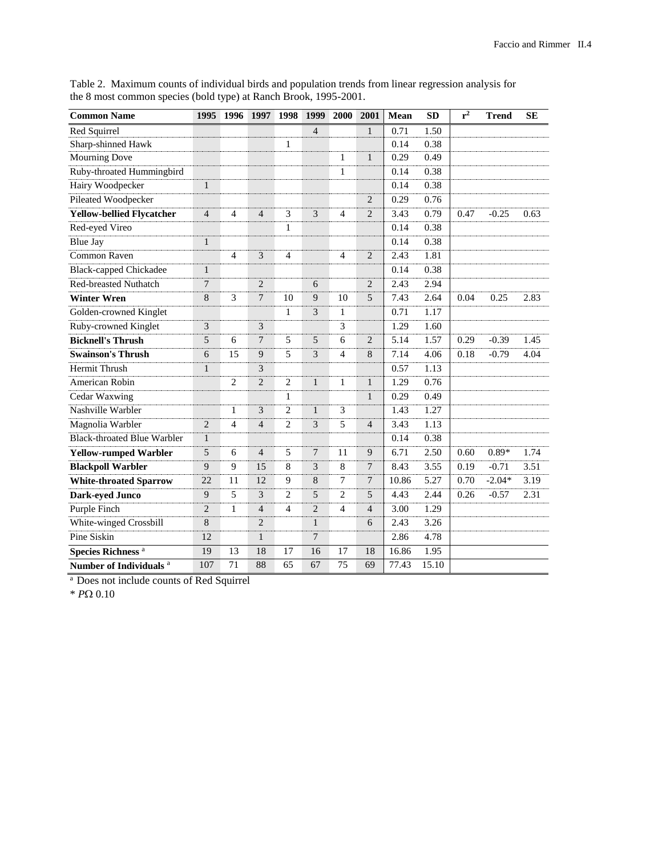| <b>Common Name</b>                 | 1995           | 1996           | 1997           | 1998           | 1999           | 2000           | 2001           | Mean  | <b>SD</b> | $r^2$ | <b>Trend</b> | <b>SE</b> |
|------------------------------------|----------------|----------------|----------------|----------------|----------------|----------------|----------------|-------|-----------|-------|--------------|-----------|
| Red Squirrel                       |                |                |                |                | $\overline{4}$ |                | $\mathbf{1}$   | 0.71  | 1.50      |       |              |           |
| Sharp-shinned Hawk                 |                |                |                | 1              |                |                |                | 0.14  | 0.38      |       |              |           |
| <b>Mourning Dove</b>               |                |                |                |                |                | 1              | $\mathbf{1}$   | 0.29  | 0.49      |       |              |           |
| Ruby-throated Hummingbird          |                |                |                |                |                | $\mathbf{1}$   |                | 0.14  | 0.38      |       |              |           |
| Hairy Woodpecker                   | $\mathbf{1}$   |                |                |                |                |                |                | 0.14  | 0.38      |       |              |           |
| Pileated Woodpecker                |                |                |                |                |                |                | $\overline{2}$ | 0.29  | 0.76      |       |              |           |
| <b>Yellow-bellied Flycatcher</b>   | $\overline{4}$ | $\overline{4}$ | $\overline{4}$ | 3              | 3              | $\overline{4}$ | $\overline{2}$ | 3.43  | 0.79      | 0.47  | $-0.25$      | 0.63      |
| Red-eyed Vireo                     |                |                |                | 1              |                |                |                | 0.14  | 0.38      |       |              |           |
| <b>Blue Jay</b>                    | $\mathbf{1}$   |                |                |                |                |                |                | 0.14  | 0.38      |       |              |           |
| Common Raven                       |                | $\overline{4}$ | 3              | $\overline{4}$ |                | $\overline{4}$ | $\overline{2}$ | 2.43  | 1.81      |       |              |           |
| <b>Black-capped Chickadee</b>      | $\mathbf{1}$   |                |                |                |                |                |                | 0.14  | 0.38      |       |              |           |
| <b>Red-breasted Nuthatch</b>       | 7              |                | $\overline{2}$ |                | 6              |                | $\overline{c}$ | 2.43  | 2.94      |       |              |           |
| <b>Winter Wren</b>                 | 8              | 3              | $\overline{7}$ | 10             | $\overline{9}$ | 10             | 5              | 7.43  | 2.64      | 0.04  | 0.25         | 2.83      |
| Golden-crowned Kinglet             |                |                |                | $\mathbf{1}$   | $\mathfrak{Z}$ | $\mathbf{1}$   |                | 0.71  | 1.17      |       |              |           |
| Ruby-crowned Kinglet               | 3              |                | 3              |                |                | 3              |                | 1.29  | 1.60      |       |              |           |
| <b>Bicknell's Thrush</b>           | 5              | 6              | $\overline{7}$ | 5              | 5              | 6              | $\overline{2}$ | 5.14  | 1.57      | 0.29  | $-0.39$      | 1.45      |
| <b>Swainson's Thrush</b>           | 6              | 15             | 9              | 5              | 3              | $\overline{4}$ | 8              | 7.14  | 4.06      | 0.18  | $-0.79$      | 4.04      |
| Hermit Thrush                      | $\mathbf{1}$   |                | 3              |                |                |                |                | 0.57  | 1.13      |       |              |           |
| American Robin                     |                | $\overline{2}$ | $\overline{2}$ | $\overline{c}$ | 1              | 1              | 1              | 1.29  | 0.76      |       |              |           |
| Cedar Waxwing                      |                |                |                | $\mathbf{1}$   |                |                | $\mathbf{1}$   | 0.29  | 0.49      |       |              |           |
| Nashville Warbler                  |                | 1              | 3              | 2              | $\mathbf{1}$   | 3              |                | 1.43  | 1.27      |       |              |           |
| Magnolia Warbler                   | $\overline{2}$ | $\overline{4}$ | $\overline{4}$ | $\overline{c}$ | 3              | 5              | $\overline{4}$ | 3.43  | 1.13      |       |              |           |
| <b>Black-throated Blue Warbler</b> | $\mathbf{1}$   |                |                |                |                |                |                | 0.14  | 0.38      |       |              |           |
| <b>Yellow-rumped Warbler</b>       | 5              | 6              | $\overline{4}$ | 5              | $\overline{7}$ | 11             | 9              | 6.71  | 2.50      | 0.60  | $0.89*$      | 1.74      |
| <b>Blackpoll Warbler</b>           | 9              | 9              | 15             | 8              | $\mathfrak{Z}$ | 8              | $\overline{7}$ | 8.43  | 3.55      | 0.19  | $-0.71$      | 3.51      |
| <b>White-throated Sparrow</b>      | 22             | 11             | 12             | 9              | $8\phantom{1}$ | $\overline{7}$ | $\tau$         | 10.86 | 5.27      | 0.70  | $-2.04*$     | 3.19      |
| <b>Dark-eyed Junco</b>             | 9              | 5              | 3              | $\overline{c}$ | 5              | $\overline{2}$ | 5              | 4.43  | 2.44      | 0.26  | $-0.57$      | 2.31      |
| Purple Finch                       | $\overline{2}$ | 1              | $\overline{4}$ | $\overline{4}$ | $\overline{2}$ | $\overline{4}$ | $\overline{4}$ | 3.00  | 1.29      |       |              |           |
| White-winged Crossbill             | 8              |                | $\overline{2}$ |                | $\mathbf{1}$   |                | 6              | 2.43  | 3.26      |       |              |           |
| Pine Siskin                        | 12             |                | $\mathbf{1}$   |                | 7              |                |                | 2.86  | 4.78      |       |              |           |
| Species Richness <sup>a</sup>      | 19             | 13             | 18             | 17             | 16             | 17             | 18             | 16.86 | 1.95      |       |              |           |
| Number of Individuals <sup>a</sup> | 107            | 71             | 88             | 65             | 67             | 75             | 69             | 77.43 | 15.10     |       |              |           |

Table 2. Maximum counts of individual birds and population trends from linear regression analysis for the 8 most common species (bold type) at Ranch Brook, 1995-2001.

<sup>a</sup> Does not include counts of Red Squirrel

 $*$   $P\Omega$   $0.10$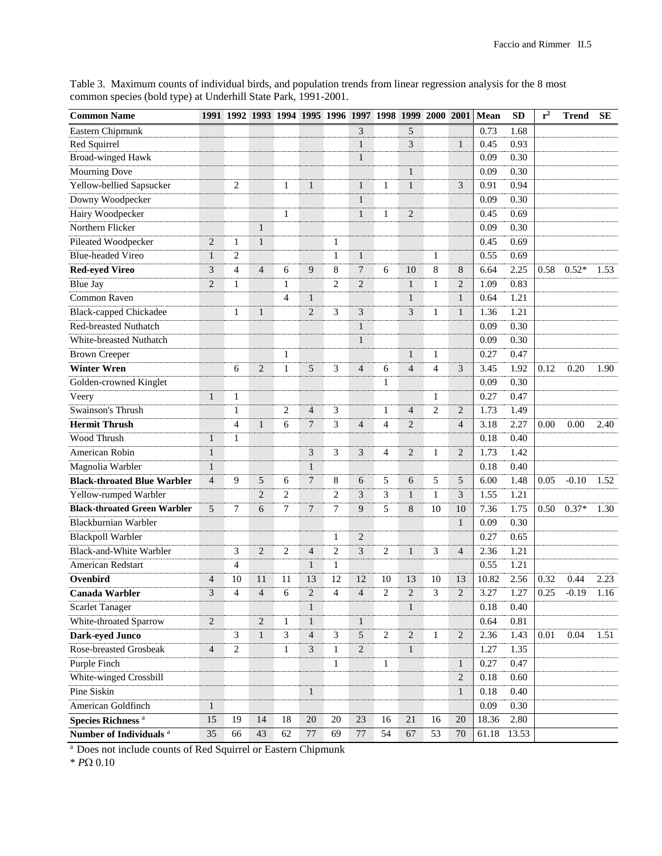| <b>Common Name</b>                  |                 | 1991 1992 1993 1994 1995 1996 1997 1998 1999 2000 2001 |                |                |                 |                |                |                |                |                |                | Mean  | <b>SD</b> | $r^2$ | <b>Trend</b> | <b>SE</b> |
|-------------------------------------|-----------------|--------------------------------------------------------|----------------|----------------|-----------------|----------------|----------------|----------------|----------------|----------------|----------------|-------|-----------|-------|--------------|-----------|
| Eastern Chipmunk                    |                 |                                                        |                |                |                 |                | 3              |                | 5              |                |                | 0.73  | 1.68      |       |              |           |
| Red Squirrel                        |                 |                                                        |                |                |                 |                | 1              |                | 3              |                | 1              | 0.45  | 0.93      |       |              |           |
| <b>Broad-winged Hawk</b>            |                 |                                                        |                |                |                 |                | $\mathbf{1}$   |                |                |                |                | 0.09  | 0.30      |       |              |           |
| <b>Mourning Dove</b>                |                 |                                                        |                |                |                 |                |                |                | $\mathbf{1}$   |                |                | 0.09  | 0.30      |       |              |           |
| Yellow-bellied Sapsucker            |                 | 2                                                      |                | 1              | $\mathbf{1}$    |                | $\mathbf{1}$   | 1              | $\mathbf{1}$   |                | 3              | 0.91  | 0.94      |       |              |           |
| Downy Woodpecker                    |                 |                                                        |                |                |                 |                | $\mathbf{1}$   |                |                |                |                | 0.09  | 0.30      |       |              |           |
| Hairy Woodpecker                    |                 |                                                        |                | 1              |                 |                | 1              | 1              | $\overline{2}$ |                |                | 0.45  | 0.69      |       |              |           |
| Northern Flicker                    |                 |                                                        | $\mathbf{1}$   |                |                 |                |                |                |                |                |                | 0.09  | 0.30      |       |              |           |
| Pileated Woodpecker                 | 2               | $\mathbf{1}$                                           | $\mathbf{1}$   |                |                 | 1              |                |                |                |                |                | 0.45  | 0.69      |       |              |           |
| <b>Blue-headed Vireo</b>            | 1               | $\overline{2}$                                         |                |                |                 | $\mathbf{1}$   | $\mathbf{1}$   |                |                | 1              |                | 0.55  | 0.69      |       |              |           |
| <b>Red-eyed Vireo</b>               | 3               | $\overline{4}$                                         | $\overline{4}$ | 6              | 9               | 8              | 7              | 6              | 10             | 8              | 8              | 6.64  | 2.25      | 0.58  | $0.52*$      | 1.53      |
| <b>Blue Jay</b>                     | $\overline{2}$  | $\mathbf{1}$                                           |                | 1              |                 | $\overline{c}$ | $\overline{2}$ |                | $\mathbf{1}$   | 1              | 2              | 1.09  | 0.83      |       |              |           |
| Common Raven                        |                 |                                                        |                | $\overline{4}$ | 1               |                |                |                | 1              |                | $\mathbf{1}$   | 0.64  | 1.21      |       |              |           |
| <b>Black-capped Chickadee</b>       |                 | 1                                                      | $\mathbf{1}$   |                | 2               | 3              | 3              |                | 3              | 1              | $\mathbf{1}$   | 1.36  | 1.21      |       |              |           |
| Red-breasted Nuthatch               |                 |                                                        |                |                |                 |                | 1              |                |                |                |                | 0.09  | 0.30      |       |              |           |
| White-breasted Nuthatch             |                 |                                                        |                |                |                 |                | 1              |                |                |                |                | 0.09  | 0.30      |       |              |           |
| <b>Brown Creeper</b>                |                 |                                                        |                | 1              |                 |                |                |                | $\mathbf{1}$   | 1              |                | 0.27  | 0.47      |       |              |           |
| <b>Winter Wren</b>                  |                 | 6                                                      | $\overline{2}$ | $\mathbf{1}$   | 5               | 3              | $\overline{4}$ | 6              | $\overline{4}$ | $\overline{4}$ | 3              | 3.45  | 1.92      | 0.12  | 0.20         | 1.90      |
| Golden-crowned Kinglet              |                 |                                                        |                |                |                 |                |                | 1              |                |                |                | 0.09  | 0.30      |       |              |           |
| Veery                               | $\mathbf{1}$    | 1                                                      |                |                |                 |                |                |                |                | 1              |                | 0.27  | 0.47      |       |              |           |
| Swainson's Thrush                   |                 | $\mathbf{1}$                                           |                | 2              | $\overline{4}$  | 3              |                | 1              | $\overline{4}$ | 2              | 2              | 1.73  | 1.49      |       |              |           |
| <b>Hermit Thrush</b>                |                 | $\overline{4}$                                         | 1              | 6              | 7               | 3              | $\overline{4}$ | 4              | $\overline{2}$ |                | $\overline{4}$ | 3.18  | 2.27      | 0.00  | 0.00         | 2.40      |
| Wood Thrush                         | 1               | 1                                                      |                |                |                 |                |                |                |                |                |                | 0.18  | 0.40      |       |              |           |
| American Robin                      | $\mathbf{1}$    |                                                        |                |                | 3               | 3              | 3              | 4              | 2              | 1              | 2              | 1.73  | 1.42      |       |              |           |
| Magnolia Warbler                    | $\mathbf{1}$    |                                                        |                |                | 1               |                |                |                |                |                |                | 0.18  | 0.40      |       |              |           |
| <b>Black-throated Blue Warbler</b>  | $\overline{4}$  | 9                                                      | 5              | 6              | 7               | 8              | 6              | 5              | 6              | 5              | 5              | 6.00  | 1.48      | 0.05  | $-0.10$      | 1.52      |
| Yellow-rumped Warbler               |                 |                                                        | $\overline{2}$ | 2              |                 | 2              | 3              | 3              | $\mathbf{1}$   | 1              | 3              | 1.55  | 1.21      |       |              |           |
| <b>Black-throated Green Warbler</b> | 5               | 7                                                      | 6              | 7              | 7               | 7              | 9              | 5              | 8              | 10             | 10             | 7.36  | 1.75      | 0.50  | $0.37*$      | 1.30      |
| Blackburnian Warbler                |                 |                                                        |                |                |                 |                |                |                |                |                | $\mathbf{1}$   | 0.09  | 0.30      |       |              |           |
| <b>Blackpoll Warbler</b>            |                 |                                                        |                |                |                 | $\mathbf{1}$   | $\overline{2}$ |                |                |                |                | 0.27  | 0.65      |       |              |           |
| Black-and-White Warbler             |                 | 3                                                      | $\overline{c}$ | $\overline{2}$ | $\overline{4}$  | 2              | 3              | $\overline{2}$ | $\mathbf{1}$   | 3              | $\overline{4}$ | 2.36  | 1.21      |       |              |           |
| <b>American Redstart</b>            |                 | $\overline{4}$                                         |                |                | 1               | $\mathbf{1}$   |                |                |                |                |                | 0.55  | 1.21      |       |              |           |
| Ovenbird                            | 4               | 10                                                     | 11             | 11             | 13              | 12             | 12             | 10             | 13             | 10             | 13             | 10.82 | 2.56      | 0.32  | 0.44         | 2.23      |
| Canada Warbler                      | 3               | 4                                                      | 4              | 6              | 2               | 4              | 4              | 2              | 2              | 3              | 2              | 3.27  | 1.27      | 0.25  | $-0.19$      | 1.16      |
| <b>Scarlet Tanager</b>              |                 |                                                        |                |                | $\mathbf{1}$    |                |                |                | $\mathbf{1}$   |                |                | 0.18  | 0.40      |       |              |           |
| White-throated Sparrow              | $\overline{2}$  |                                                        | $\overline{2}$ | $\mathbf{1}$   | $\mathbf{1}$    |                | $\mathbf{1}$   |                |                |                |                | 0.64  | 0.81      |       |              |           |
| Dark-eyed Junco                     |                 | 3                                                      | $\mathbf{1}$   | 3              | $\overline{4}$  | 3              | 5              | 2              | $\overline{2}$ | $\mathbf{1}$   | $\overline{2}$ | 2.36  | 1.43      | 0.01  | 0.04         | 1.51      |
| Rose-breasted Grosbeak              | $\overline{4}$  | 2                                                      |                | 1              | 3               | $\mathbf{1}$   | 2              |                | $\mathbf{1}$   |                |                | 1.27  | 1.35      |       |              |           |
| Purple Finch                        |                 |                                                        |                |                |                 | $\mathbf{1}$   |                | 1              |                |                | $\mathbf{1}$   | 0.27  | 0.47      |       |              |           |
| White-winged Crossbill              |                 |                                                        |                |                |                 |                |                |                |                |                | 2              | 0.18  | 0.60      |       |              |           |
| Pine Siskin                         |                 |                                                        |                |                | $\mathbf{1}$    |                |                |                |                |                | $\mathbf{1}$   | 0.18  | 0.40      |       |              |           |
| American Goldfinch                  | $\mathbf{1}$    |                                                        |                |                |                 |                |                |                |                |                |                | 0.09  | 0.30      |       |              |           |
| <b>Species Richness<sup>a</sup></b> | $\overline{15}$ | $\overline{19}$                                        | 14             | 18             | $\overline{20}$ | 20             | 23             | 16             | 21             | 16             | 20             | 18.36 | 2.80      |       |              |           |
| Number of Individuals <sup>a</sup>  | 35              | 66                                                     | 43             | 62             | $77\,$          | 69             | 77             | 54             | 67             | 53             | 70             | 61.18 | 13.53     |       |              |           |

Table 3. Maximum counts of individual birds, and population trends from linear regression analysis for the 8 most common species (bold type) at Underhill State Park, 1991-2001.

<sup>a</sup> Does not include counts of Red Squirrel or Eastern Chipmunk

 $*$   $P\Omega$   $0.10$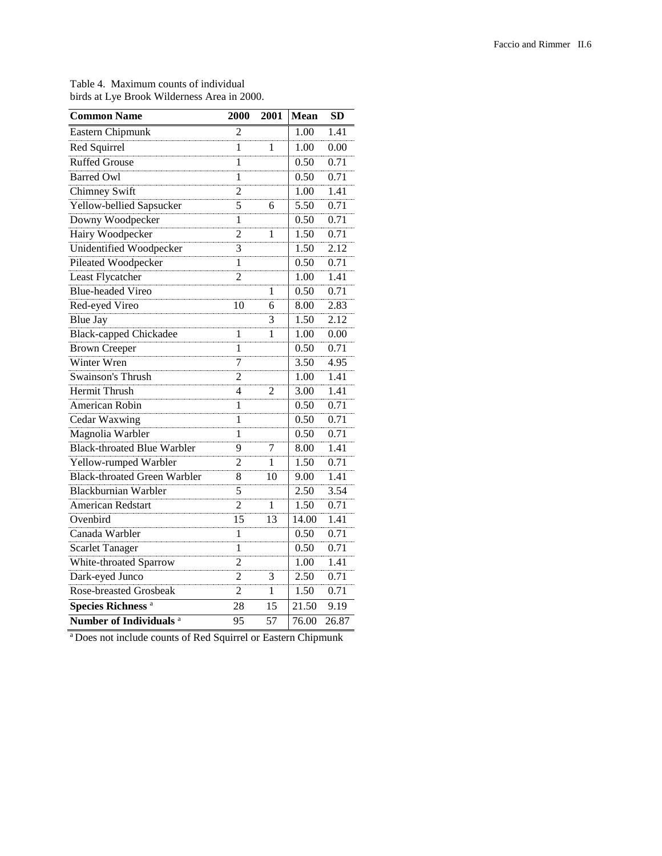| <b>Common Name</b>                  | 2000           | 2001         | <b>Mean</b> | <b>SD</b> |
|-------------------------------------|----------------|--------------|-------------|-----------|
| Eastern Chipmunk                    | 2              |              | 1.00        | 1.41      |
| Red Squirrel                        | 1              | 1            | 1.00        | 0.00      |
| <b>Ruffed Grouse</b>                | 1              |              | 0.50        | 0.71      |
| <b>Barred Owl</b>                   | 1              |              | 0.50        | 0.71      |
| Chimney Swift                       | $\overline{2}$ |              | 1.00        | 1.41      |
| Yellow-bellied Sapsucker            | 5              | 6            | 5.50        | 0.71      |
| Downy Woodpecker                    | 1              |              | 0.50        | 0.71      |
| Hairy Woodpecker                    | $\overline{2}$ | 1            | 1.50        | 0.71      |
| <b>Unidentified Woodpecker</b>      | 3              |              | 1.50        | 2.12      |
| <b>Pileated Woodpecker</b>          | $\mathbf{1}$   |              | 0.50        | 0.71      |
| Least Flycatcher                    | $\overline{2}$ |              | 1.00        | 1.41      |
| <b>Blue-headed Vireo</b>            |                | 1            | 0.50        | 0.71      |
| Red-eyed Vireo                      | 10             | 6            | 8.00        | 2.83      |
| <b>Blue Jay</b>                     |                | 3            | 1.50        | 2.12      |
| <b>Black-capped Chickadee</b>       | 1              | 1            | 1.00        | 0.00      |
| <b>Brown Creeper</b>                | 1              |              | 0.50        | 0.71      |
| Winter Wren                         | 7              |              | 3.50        | 4.95      |
| <b>Swainson's Thrush</b>            | $\overline{2}$ |              | 1.00        | 1.41      |
| Hermit Thrush                       | 4              | 2            | 3.00        | 1.41      |
| American Robin                      | 1              |              | 0.50        | 0.71      |
| Cedar Waxwing                       | 1              |              | 0.50        | 0.71      |
| Magnolia Warbler                    | 1              |              | 0.50        | 0.71      |
| <b>Black-throated Blue Warbler</b>  | 9              | 7            | 8.00        | 1.41      |
| Yellow-rumped Warbler               | $\overline{c}$ | 1            | 1.50        | 0.71      |
| <b>Black-throated Green Warbler</b> | 8              | 10           | 9.00        | 1.41      |
| Blackburnian Warbler                | 5              |              | 2.50        | 3.54      |
| American Redstart                   | $\overline{2}$ | $\mathbf{1}$ | 1.50        | 0.71      |
| Ovenbird                            | 15             | 13           | 14.00       | 1.41      |
| Canada Warbler                      | $\mathbf{1}$   |              | 0.50        | 0.71      |
| <b>Scarlet Tanager</b>              | $\mathbf{1}$   |              | 0.50        | 0.71      |
| White-throated Sparrow              | $\overline{2}$ |              | 1.00        | 1.41      |
| Dark-eyed Junco                     | $\overline{2}$ | 3            | 2.50        | 0.71      |
| Rose-breasted Grosbeak              | $\overline{2}$ | 1            | 1.50        | 0.71      |
| Species Richness <sup>a</sup>       | 28             | 15           | 21.50       | 9.19      |
| Number of Individuals <sup>a</sup>  | 95             | 57           | 76.00       | 26.87     |

Table 4. Maximum counts of individual birds at Lye Brook Wilderness Area in 2000.

a Does not include counts of Red Squirrel or Eastern Chipmunk